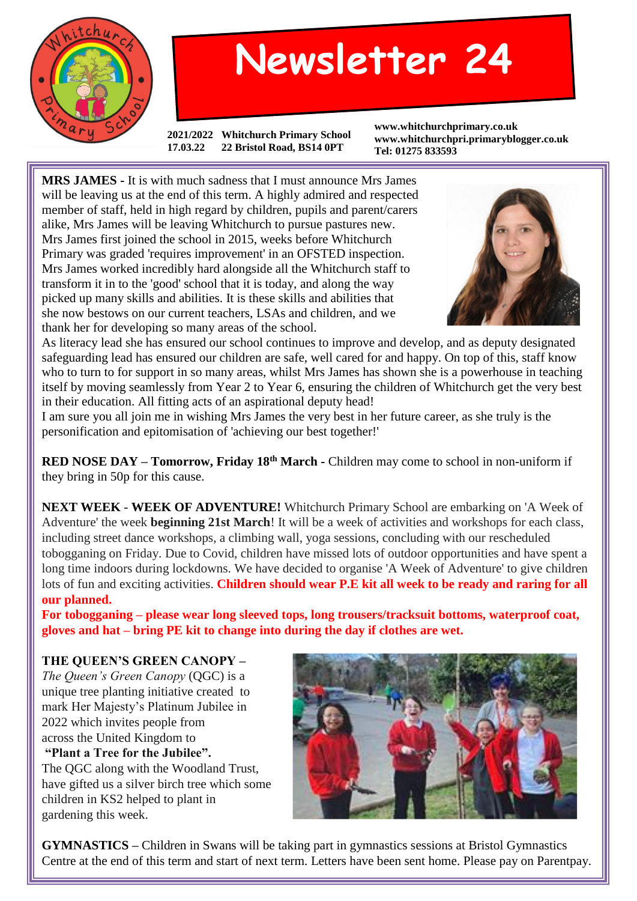

## **Newsletter 24**

**2021/2022 Whitchurch Primary School 17.03.22 22 Bristol Road, BS14 0PT**

**www.whitchurchprimary.co.uk www.whitchurchpri.primaryblogger.co.uk Tel: 01275 833593**

**MRS JAMES -** It is with much sadness that I must announce Mrs James will be leaving us at the end of this term. A highly admired and respected member of staff, held in high regard by children, pupils and parent/carers alike, Mrs James will be leaving Whitchurch to pursue pastures new. Mrs James first joined the school in 2015, weeks before Whitchurch Primary was graded 'requires improvement' in an OFSTED inspection. Mrs James worked incredibly hard alongside all the Whitchurch staff to transform it in to the 'good' school that it is today, and along the way picked up many skills and abilities. It is these skills and abilities that she now bestows on our current teachers, LSAs and children, and we thank her for developing so many areas of the school.



As literacy lead she has ensured our school continues to improve and develop, and as deputy designated safeguarding lead has ensured our children are safe, well cared for and happy. On top of this, staff know who to turn to for support in so many areas, whilst Mrs James has shown she is a powerhouse in teaching itself by moving seamlessly from Year 2 to Year 6, ensuring the children of Whitchurch get the very best in their education. All fitting acts of an aspirational deputy head!

I am sure you all join me in wishing Mrs James the very best in her future career, as she truly is the personification and epitomisation of 'achieving our best together!'

**RED NOSE DAY – Tomorrow, Friday 18th March -** Children may come to school in non-uniform if they bring in 50p for this cause.

**NEXT WEEK** - **WEEK OF ADVENTURE!** Whitchurch Primary School are embarking on 'A Week of Adventure' the week **beginning 21st March**! It will be a week of activities and workshops for each class, including street dance workshops, a climbing wall, yoga sessions, concluding with our rescheduled tobogganing on Friday. Due to Covid, children have missed lots of outdoor opportunities and have spent a long time indoors during lockdowns. We have decided to organise 'A Week of Adventure' to give children lots of fun and exciting activities. **Children should wear P.E kit all week to be ready and raring for all our planned.**

**For tobogganing – please wear long sleeved tops, long trousers/tracksuit bottoms, waterproof coat, gloves and hat – bring PE kit to change into during the day if clothes are wet.**

**THE QUEEN'S GREEN CANOPY –** *The Queen's Green Canopy* (QGC) is a unique tree planting initiative created to mark Her Majesty's Platinum Jubilee in 2022 which invites people from across the United Kingdom to **"Plant a Tree for the Jubilee".** The QGC along with the Woodland Trust, have gifted us a silver birch tree which some children in KS2 helped to plant in gardening this week.



**GYMNASTICS –** Children in Swans will be taking part in gymnastics sessions at Bristol Gymnastics Centre at the end of this term and start of next term. Letters have been sent home. Please pay on Parentpay.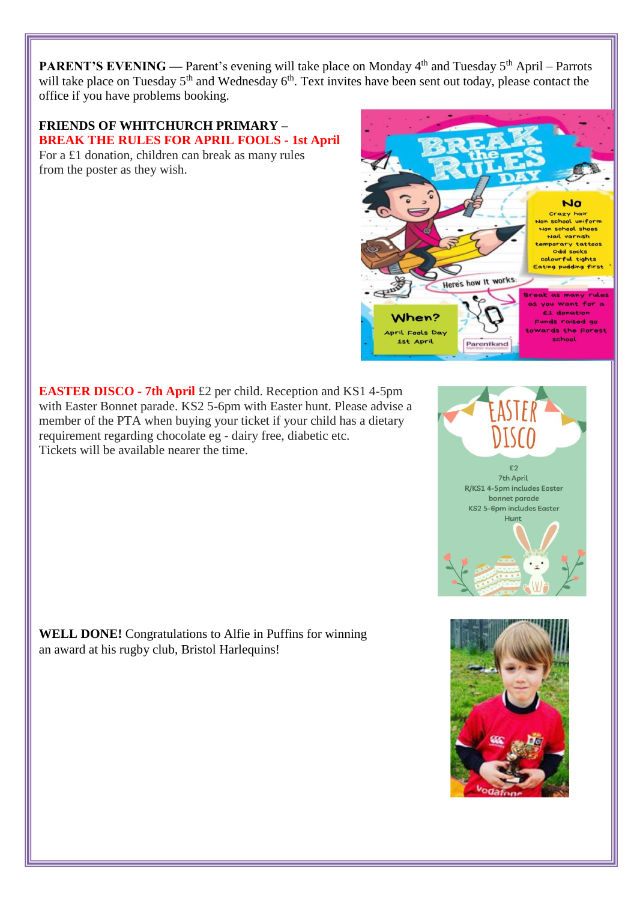**PARENT'S EVENING** — Parent's evening will take place on Monday 4<sup>th</sup> and Tuesday 5<sup>th</sup> April – Parrots will take place on Tuesday 5<sup>th</sup> and Wednesday 6<sup>th</sup>. Text invites have been sent out today, please contact the office if you have problems booking.

## **FRIENDS OF WHITCHURCH PRIMARY – BREAK THE RULES FOR APRIL FOOLS - 1st April**

For a £1 donation, children can break as many rules from the poster as they wish.

**EASTER DISCO - 7th April** £2 per child. Reception and KS1 4-5pm with Easter Bonnet parade. KS2 5-6pm with Easter hunt. Please advise a member of the PTA when buying your ticket if your child has a dietary requirement regarding chocolate eg - dairy free, diabetic etc. Tickets will be available nearer the time.

**WELL DONE!** Congratulations to Alfie in Puffins for winning an award at his rugby club, Bristol Harlequins!



 $c<sub>2</sub>$ 7th April R/KS1 4-5pm includes Easter bonnet parade